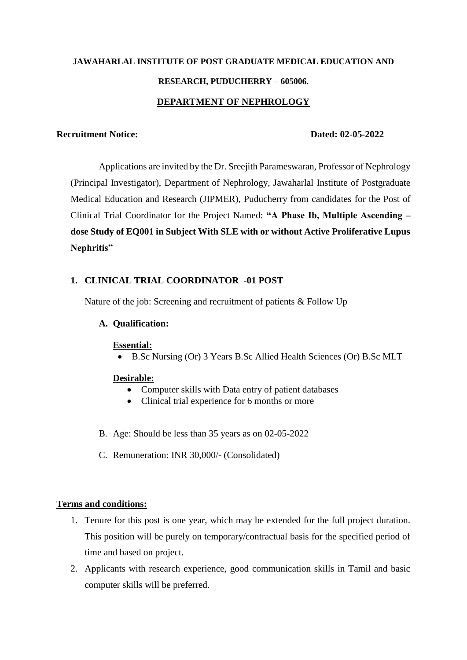# **JAWAHARLAL INSTITUTE OF POST GRADUATE MEDICAL EDUCATION AND RESEARCH, PUDUCHERRY – 605006. DEPARTMENT OF NEPHROLOGY**

#### **Recruitment Notice: Dated: 02-05-2022**

Applications are invited by the Dr. Sreejith Parameswaran, Professor of Nephrology (Principal Investigator), Department of Nephrology, Jawaharlal Institute of Postgraduate Medical Education and Research (JIPMER), Puducherry from candidates for the Post of Clinical Trial Coordinator for the Project Named: **"A Phase Ib, Multiple Ascending – dose Study of EQ001 in Subject With SLE with or without Active Proliferative Lupus Nephritis"**

### **1. CLINICAL TRIAL COORDINATOR -01 POST**

Nature of the job: Screening and recruitment of patients & Follow Up

#### **A. Qualification:**

#### **Essential:**

B.Sc Nursing (Or) 3 Years B.Sc Allied Health Sciences (Or) B.Sc MLT

#### **Desirable:**

- Computer skills with Data entry of patient databases
- Clinical trial experience for 6 months or more
- B. Age: Should be less than 35 years as on 02-05-2022
- C. Remuneration: INR 30,000/- (Consolidated)

#### **Terms and conditions:**

- 1. Tenure for this post is one year, which may be extended for the full project duration. This position will be purely on temporary/contractual basis for the specified period of time and based on project.
- 2. Applicants with research experience, good communication skills in Tamil and basic computer skills will be preferred.